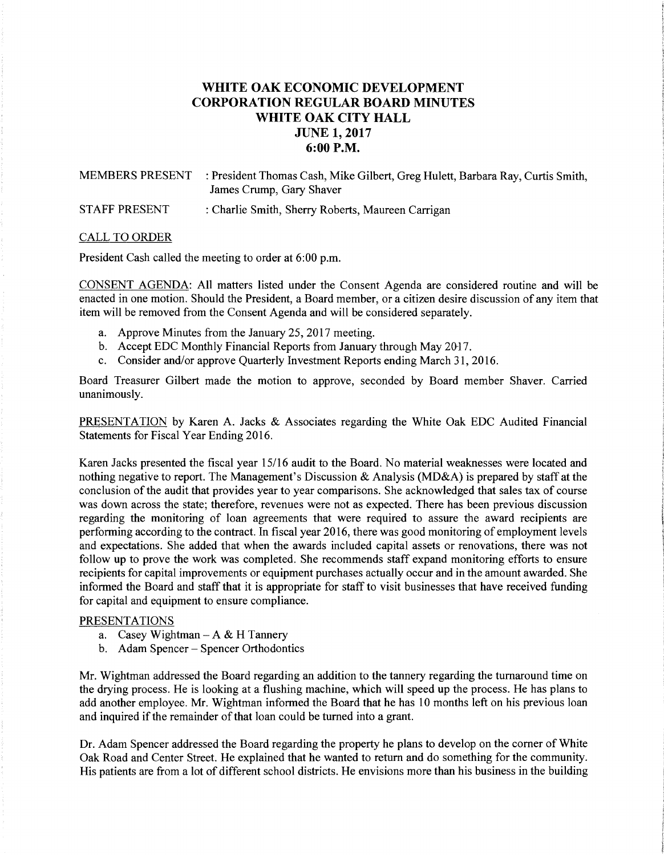# **WHITE OAK ECONOMIC DEVELOPMENT CORPORATION REGULAR BOARD MINUTES WHITE OAK CITY HALL JUNE 1, 2017 6:00P.M.**

MEMBERS PRESENT : President Thomas Cash, Mike Gilbert, Greg Hulett, Barbara Ray, Curtis Smith, James Crump, Gary Shaver STAFF PRESENT : Charlie Smith, Sherry Roberts, Maureen Carrigan

#### CALL TO ORDER

President Cash called the meeting to order at 6:00 p.m.

CONSENT AGENDA: All matters listed under the Consent Agenda are considered routine and will be enacted in one motion. Should the President, a Board member, or a citizen desire discussion of any item that item will be removed from the Consent Agenda and will be considered separately.

- a. Approve Minutes from the January 25, 2017 meeting.
- b. Accept EDC Monthly Financial Reports from January through May 2017.
- c. Consider and/or approve Quarterly Investment Reports ending March 31, 2016.

Board Treasurer Gilbert made the motion to approve, seconded by Board member Shaver. Carried unanimously.

PRESENTATION by Karen A. Jacks & Associates regarding the White Oak EDC Audited Financial Statements for Fiscal Year Ending 2016.

Karen Jacks presented the fiscal year 15/16 audit to the Board. No material weaknesses were located and nothing negative to report. The Management's Discussion & Analysis (MD&A) is prepared by staff at the conclusion of the audit that provides year to year comparisons. She acknowledged that sales tax of course was down across the state; therefore, revenues were not as expected. There has been previous discussion regarding the monitoring of loan agreements that were required to assure the award recipients are performing according to the contract. In fiscal year 2016, there was good monitoring of employment levels and expectations. She added that when the awards included capital assets or renovations, there was not follow up to prove the work was completed. She recommends staff expand monitoring efforts to ensure recipients for capital improvements or equipment purchases actually occur and in the amount awarded. She informed the Board and staff that it is appropriate for staff to visit businesses that have received funding for capital and equipment to ensure compliance.

### PRESENTATIONS

- a. Casey Wightman  $-A & H$  Tannery
- b. Adam Spencer Spencer Orthodontics

Mr. Wightman addressed the Board regarding an addition to the tannery regarding the turnaround time on the drying process. He is looking at a flushing machine, which will speed up the process. He has plans to add another employee. Mr. Wightman informed the Board that he has 10 months left on his previous loan and inquired if the remainder of that loan could be turned into a grant.

Dr. Adam Spencer addressed the Board regarding the property he plans to develop on the comer of White Oak Road and Center Street. He explained that he wanted to return and do something for the community. His patients are from a lot of different school districts. He envisions more than his business in the building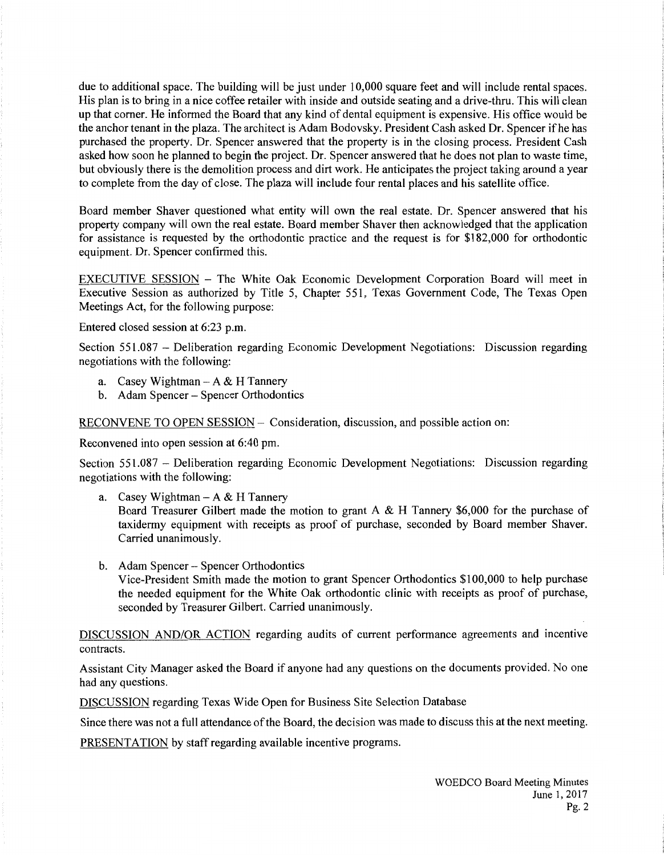due to additional space. The building will be just under 10,000 square feet and will include rental spaces. His plan is to bring in a nice coffee retailer with inside and outside seating and a drive-thru. This will clean up that corner. He informed the Board that any kind of dental equipment is expensive. His office would be the anchor tenant in the plaza. The architect is Adam Bodovsky. President Cash asked Dr. Spencer ifhe has purchased the property. Dr. Spencer answered that the property is in the closing process. President Cash asked how soon he planned to begin the project. Dr. Spencer answered that he does not plan to waste time, but obviously there is the demolition process and dirt work. He anticipates the project taking around a year to complete from the day of close. The plaza will include four rental places and his satellite office.

Board member Shaver questioned what entity will own the real estate. Dr. Spencer answered that his property company will own the real estate. Board member Shaver then acknowledged that the application for assistance is requested by the orthodontic practice and the request is for \$182,000 for orthodontic equipment. Dr. Spencer confirmed this.

EXECUTIVE SESSION - The White Oak Economic Development Corporation Board will meet in Executive Session as authorized by Title 5, Chapter 551, Texas Government Code, The Texas Open Meetings Act, for the following purpose:

Entered closed session at 6:23 p.m.

Section 551.087 - Deliberation regarding Economic Development Negotiations: Discussion regarding negotiations with the following:

- a. Casey Wightman  $-A & H$  Tannery
- b. Adam Spencer- Spencer Orthodontics

RECONVENE TO OPEN SESSION - Consideration, discussion, and possible action on:

Reconvened into open session at 6:40 pm.

Section 551.087 - Deliberation regarding Economic Development Negotiations: Discussion regarding negotiations with the following:

a. Casey Wightman  $-A & H$  Tannery

Board Treasurer Gilbert made the motion to grant A & H Tannery \$6,000 for the purchase of taxidermy equipment with receipts as proof of purchase, seconded by Board member Shaver. Carried unanimously.

b. Adam Spencer- Spencer Orthodontics Vice-President Smith made the motion to grant Spencer Orthodontics \$100,000 to help purchase the needed equipment for the White Oak orthodontic clinic with receipts as proof of purchase, seconded by Treasurer Gilbert. Carried unanimously.

DISCUSSION AND/OR ACTION regarding audits of current performance agreements and incentive contracts.

Assistant City Manager asked the Board if anyone had any questions on the documents provided. No one had any questions.

DISCUSSION regarding Texas Wide Open for Business Site Selection Database

Since there was not a full attendance of the Board, the decision was made to discuss this at the next meeting.

PRESENTATION by staff regarding available incentive programs.